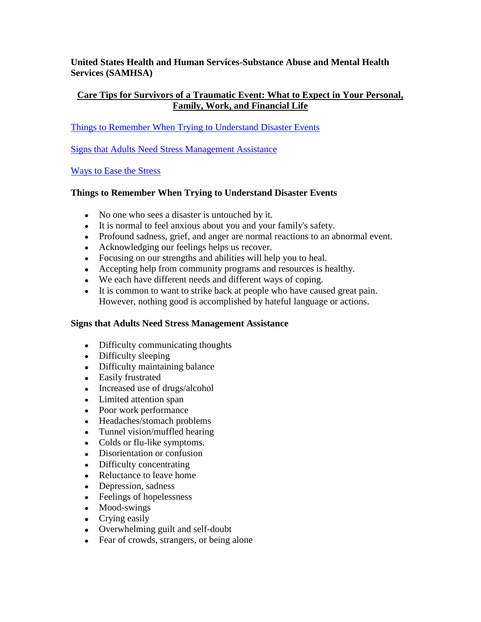**United States Health and Human Services-Substance Abuse and Mental Health Services (SAMHSA)**

# **Care Tips for Survivors of a Traumatic Event: What to Expect in Your Personal, Family, Work, and Financial Life**

[Things to Remember When Trying to Understand Disaster Events](http://mentalhealth.samhsa.gov/publications/allpubs/KEN-01-0097/default.asp#things#things)

[Signs that Adults Need Stress Management Assistance](http://mentalhealth.samhsa.gov/publications/allpubs/KEN-01-0097/default.asp#signs#signs)

[Ways to Ease the Stress](http://mentalhealth.samhsa.gov/publications/allpubs/KEN-01-0097/default.asp#ways#ways)

# **Things to Remember When Trying to Understand Disaster Events**

- No one who sees a disaster is untouched by it.
- It is normal to feel anxious about you and your family's safety.
- Profound sadness, grief, and anger are normal reactions to an abnormal event.
- Acknowledging our feelings helps us recover.
- Focusing on our strengths and abilities will help you to heal.
- Accepting help from community programs and resources is healthy.
- We each have different needs and different ways of coping.
- It is common to want to strike back at people who have caused great pain. However, nothing good is accomplished by hateful language or actions.

### **Signs that Adults Need Stress Management Assistance**

- Difficulty communicating thoughts
- Difficulty sleeping
- Difficulty maintaining balance
- Easily frustrated
- Increased use of drugs/alcohol
- Limited attention span
- Poor work performance
- Headaches/stomach problems
- Tunnel vision/muffled hearing
- Colds or flu-like symptoms.
- Disorientation or confusion
- Difficulty concentrating
- Reluctance to leave home
- Depression, sadness
- Feelings of hopelessness
- Mood-swings
- Crying easily
- Overwhelming guilt and self-doubt
- Fear of crowds, strangers, or being alone